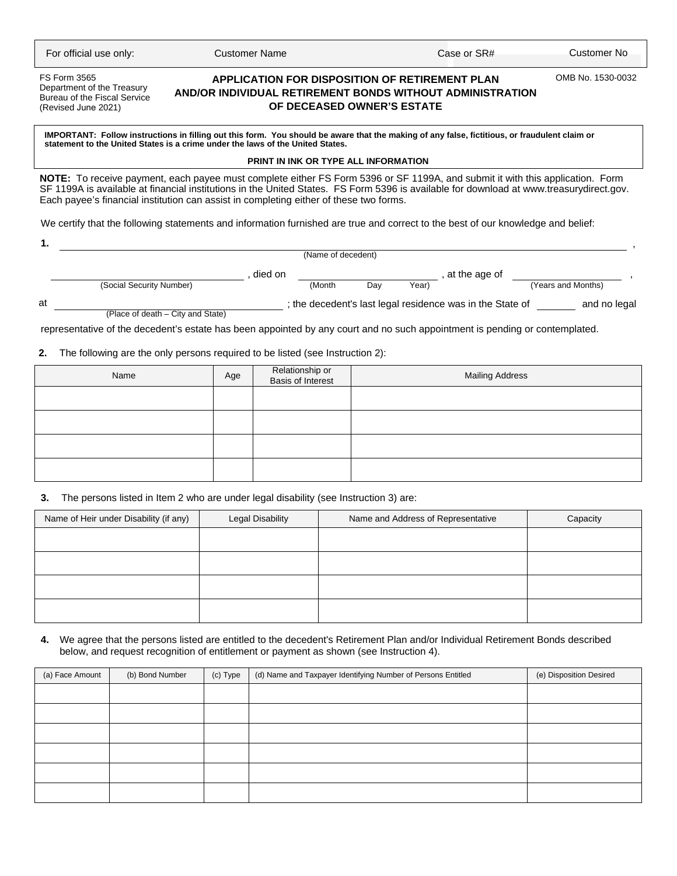| For official use only: |  |  |
|------------------------|--|--|
|------------------------|--|--|

FS Form 3565 Department of the Treasury Bureau of the Fiscal Service (Revised June 2021)

# **APPLICATION FOR DISPOSITION OF RETIREMENT PLAN AND/OR INDIVIDUAL RETIREMENT BONDS WITHOUT ADMINISTRATION OF DECEASED OWNER'S ESTATE**

For Oustomer Name Case or SR# Customer Name Case or SR# Customer No

OMB No. 1530-0032

IMPORTANT: Follow instructions in filling out this form. You should be aware that the making of any false, fictitious, or fraudulent claim or<br>statement to the United States is a crime under the laws of the United States.

## **PRINT IN INK OR TYPE ALL INFORMATION**

**NOTE:** To receive payment, each payee must complete either FS Form 5396 or SF 1199A, and submit it with this application. Form SF 1199A is available at financial institutions in the United States. FS Form 5396 is available for download at www.treasurydirect.gov. Each payee's financial institution can assist in completing either of these two forms.

We certify that the following statements and information furnished are true and correct to the best of our knowledge and belief:

|         |                                                                                                                             |             |  | (Name of decedent) |     |               |                                                           |                    |
|---------|-----------------------------------------------------------------------------------------------------------------------------|-------------|--|--------------------|-----|---------------|-----------------------------------------------------------|--------------------|
| died on |                                                                                                                             |             |  |                    |     | at the age of |                                                           |                    |
|         | (Social Security Number)                                                                                                    |             |  | (Month             | Day | Year)         |                                                           | (Years and Months) |
| at      |                                                                                                                             |             |  |                    |     |               | ; the decedent's last legal residence was in the State of | and no legal       |
|         | (Place of death - City and State)                                                                                           |             |  |                    |     |               |                                                           |                    |
|         | representative of the decedent's estate has been appointed by any court and no such appointment is pending or contemplated. |             |  |                    |     |               |                                                           |                    |
|         | The following are the only persons required to be listed (see Instruction 2):                                               |             |  |                    |     |               |                                                           |                    |
|         | <b>Nome</b>                                                                                                                 | $\Delta$ ne |  | Relationship or    |     |               | Mailing Address                                           |                    |

| Name | Age | Relationship or<br>Basis of Interest | <b>Mailing Address</b> |
|------|-----|--------------------------------------|------------------------|
|      |     |                                      |                        |
|      |     |                                      |                        |
|      |     |                                      |                        |
|      |     |                                      |                        |

# **3.** The persons listed in Item 2 who are under legal disability (see Instruction 3) are:

| Name of Heir under Disability (if any) | Legal Disability | Name and Address of Representative | Capacity |
|----------------------------------------|------------------|------------------------------------|----------|
|                                        |                  |                                    |          |
|                                        |                  |                                    |          |
|                                        |                  |                                    |          |
|                                        |                  |                                    |          |

### **4.** We agree that the persons listed are entitled to the decedent's Retirement Plan and/or Individual Retirement Bonds described below, and request recognition of entitlement or payment as shown (see Instruction 4).

| (a) Face Amount | (b) Bond Number | (c) Type | (d) Name and Taxpayer Identifying Number of Persons Entitled | (e) Disposition Desired |
|-----------------|-----------------|----------|--------------------------------------------------------------|-------------------------|
|                 |                 |          |                                                              |                         |
|                 |                 |          |                                                              |                         |
|                 |                 |          |                                                              |                         |
|                 |                 |          |                                                              |                         |
|                 |                 |          |                                                              |                         |
|                 |                 |          |                                                              |                         |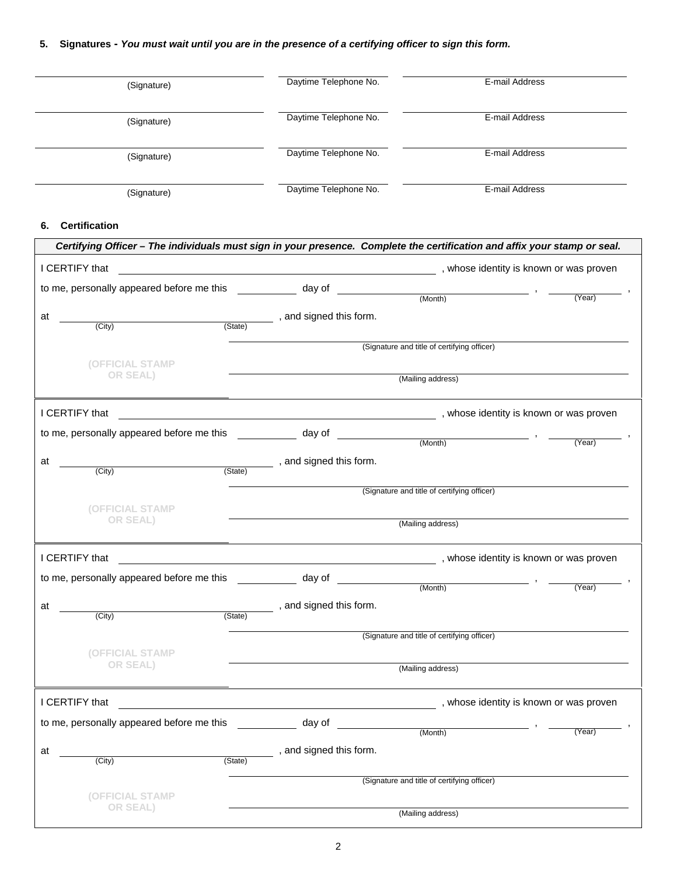# **5. Signatures -** *You must wait until you are in the presence of a certifying officer to sign this form.*

| (Signature)                              | Daytime Telephone No.                                                                                                     | E-mail Address                          |
|------------------------------------------|---------------------------------------------------------------------------------------------------------------------------|-----------------------------------------|
| (Signature)                              | Daytime Telephone No.                                                                                                     | E-mail Address                          |
| (Signature)                              | Daytime Telephone No.                                                                                                     | E-mail Address                          |
| (Signature)                              | Daytime Telephone No.                                                                                                     | E-mail Address                          |
| <b>Certification</b><br>6.               |                                                                                                                           |                                         |
|                                          | Certifying Officer – The individuals must sign in your presence. Complete the certification and affix your stamp or seal. |                                         |
| I CERTIFY that                           |                                                                                                                           | , whose identity is known or was proven |
| to mo personally appeared before mo this | $\lambda$ au of                                                                                                           |                                         |

|    | to me, personally appeared before me this        |         | day of                                    |                                                                                                                                                                                                                                |                                                                                          |
|----|--------------------------------------------------|---------|-------------------------------------------|--------------------------------------------------------------------------------------------------------------------------------------------------------------------------------------------------------------------------------|------------------------------------------------------------------------------------------|
|    |                                                  |         |                                           | (Month)                                                                                                                                                                                                                        | (Year)                                                                                   |
| at |                                                  |         | , and signed this form.                   |                                                                                                                                                                                                                                |                                                                                          |
|    | (City)                                           | (State) |                                           |                                                                                                                                                                                                                                |                                                                                          |
|    |                                                  |         |                                           | (Signature and title of certifying officer)                                                                                                                                                                                    |                                                                                          |
|    | <b>(OFFICIAL STAMP</b>                           |         |                                           |                                                                                                                                                                                                                                |                                                                                          |
|    | OR SEAL)                                         |         |                                           | (Mailing address)                                                                                                                                                                                                              |                                                                                          |
|    |                                                  |         |                                           |                                                                                                                                                                                                                                |                                                                                          |
|    | I CERTIFY that                                   |         |                                           | example and the state of the state of the state of the state of the state of the state of the state of the state of the state of the state of the state of the state of the state of the state of the state of the state of th |                                                                                          |
|    | to me, personally appeared before me this        |         | day of                                    |                                                                                                                                                                                                                                |                                                                                          |
|    |                                                  |         |                                           | (Month)                                                                                                                                                                                                                        | $\overline{\phantom{a}}$ , $\overline{\phantom{a}}$ , $\overline{\phantom{a}}$<br>(Year) |
| at |                                                  |         | , and signed this form.                   |                                                                                                                                                                                                                                |                                                                                          |
|    | (City)                                           | (State) |                                           |                                                                                                                                                                                                                                |                                                                                          |
|    |                                                  |         |                                           | (Signature and title of certifying officer)                                                                                                                                                                                    |                                                                                          |
|    | (OFFICIAL STAMP                                  |         |                                           |                                                                                                                                                                                                                                |                                                                                          |
|    | OR SEAL)                                         |         |                                           | (Mailing address)                                                                                                                                                                                                              |                                                                                          |
|    |                                                  |         |                                           |                                                                                                                                                                                                                                |                                                                                          |
|    | I CERTIFY that                                   |         |                                           |                                                                                                                                                                                                                                |                                                                                          |
|    | to me, personally appeared before me this day of |         | <u>and the community of the community</u> |                                                                                                                                                                                                                                |                                                                                          |
|    |                                                  |         |                                           | (Month)                                                                                                                                                                                                                        | (Year)                                                                                   |
| at |                                                  |         | , and signed this form.                   |                                                                                                                                                                                                                                |                                                                                          |
|    | (City)                                           | (State) |                                           |                                                                                                                                                                                                                                |                                                                                          |
|    |                                                  |         |                                           | (Signature and title of certifying officer)                                                                                                                                                                                    |                                                                                          |
|    | (OFFICIAL STAMP                                  |         |                                           |                                                                                                                                                                                                                                |                                                                                          |
|    | OR SEAL)                                         |         |                                           | (Mailing address)                                                                                                                                                                                                              |                                                                                          |
|    |                                                  |         |                                           |                                                                                                                                                                                                                                |                                                                                          |
|    | I CERTIFY that                                   |         |                                           | , whose identity is known or was proven                                                                                                                                                                                        |                                                                                          |
|    | to me, personally appeared before me this        |         | day of                                    | <u>a sa salawan</u>                                                                                                                                                                                                            |                                                                                          |
|    |                                                  |         |                                           | $(Month)$ ,                                                                                                                                                                                                                    | (Year)                                                                                   |
| at |                                                  |         | , and signed this form.                   |                                                                                                                                                                                                                                |                                                                                          |
|    | (City)                                           | (State) |                                           |                                                                                                                                                                                                                                |                                                                                          |
|    |                                                  |         |                                           | (Signature and title of certifying officer)                                                                                                                                                                                    |                                                                                          |
|    | <b>(OFFICIAL STAMP</b>                           |         |                                           |                                                                                                                                                                                                                                |                                                                                          |
|    | OR SEAL)                                         |         |                                           | (Mailing address)                                                                                                                                                                                                              |                                                                                          |
|    |                                                  |         |                                           |                                                                                                                                                                                                                                |                                                                                          |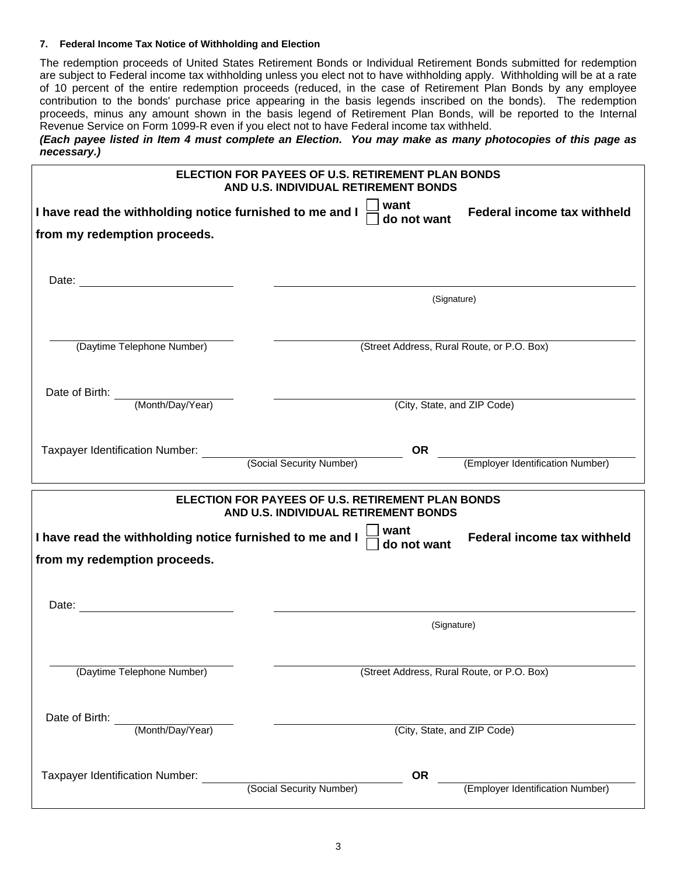# **7. Federal Income Tax Notice of Withholding and Election**

The redemption proceeds of United States Retirement Bonds or Individual Retirement Bonds submitted for redemption are subject to Federal income tax withholding unless you elect not to have withholding apply. Withholding will be at a rate of 10 percent of the entire redemption proceeds (reduced, in the case of Retirement Plan Bonds by any employee contribution to the bonds' purchase price appearing in the basis legends inscribed on the bonds). The redemption proceeds, minus any amount shown in the basis legend of Retirement Plan Bonds, will be reported to the Internal Revenue Service on Form 1099-R even if you elect not to have Federal income tax withheld.

*(Each payee listed in Item 4 must complete an Election. You may make as many photocopies of this page as necessary.)* 

| ELECTION FOR PAYEES OF U.S. RETIREMENT PLAN BONDS<br>AND U.S. INDIVIDUAL RETIREMENT BONDS |                                                                                           |                                    |  |  |
|-------------------------------------------------------------------------------------------|-------------------------------------------------------------------------------------------|------------------------------------|--|--|
| I have read the withholding notice furnished to me and I                                  | do not want                                                                               | <b>Federal income tax withheld</b> |  |  |
| from my redemption proceeds.                                                              |                                                                                           |                                    |  |  |
|                                                                                           |                                                                                           |                                    |  |  |
|                                                                                           | (Signature)                                                                               |                                    |  |  |
| (Daytime Telephone Number)                                                                | (Street Address, Rural Route, or P.O. Box)                                                |                                    |  |  |
|                                                                                           |                                                                                           |                                    |  |  |
| Date of Birth: <u>(Month/Day/Year)</u>                                                    | (City, State, and ZIP Code)                                                               |                                    |  |  |
|                                                                                           |                                                                                           |                                    |  |  |
|                                                                                           | <b>OR</b>                                                                                 | (Employer Identification Number)   |  |  |
|                                                                                           |                                                                                           |                                    |  |  |
|                                                                                           | ELECTION FOR PAYEES OF U.S. RETIREMENT PLAN BONDS<br>AND U.S. INDIVIDUAL RETIREMENT BONDS |                                    |  |  |
| I have read the withholding notice furnished to me and I                                  | ∫ want<br>┆ do not want                                                                   | <b>Federal income tax withheld</b> |  |  |
| from my redemption proceeds.                                                              |                                                                                           |                                    |  |  |
|                                                                                           |                                                                                           |                                    |  |  |
|                                                                                           | (Signature)                                                                               |                                    |  |  |
| (Daytime Telephone Number)                                                                | (Street Address, Rural Route, or P.O. Box)                                                |                                    |  |  |
| Date of Birth:<br>(Month/Day/Year)                                                        | (City, State, and ZIP Code)                                                               |                                    |  |  |
|                                                                                           |                                                                                           |                                    |  |  |
| Taxpayer Identification Number:                                                           | <b>OR</b><br>(Social Security Number)                                                     | (Employer Identification Number)   |  |  |